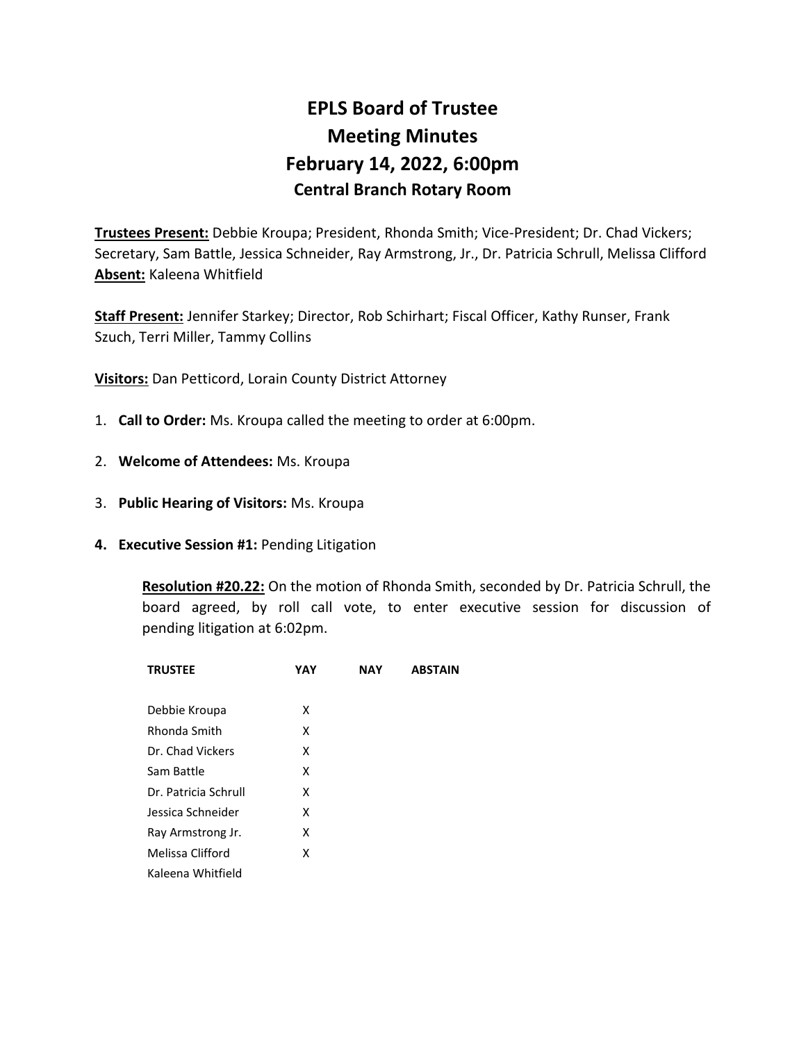# **EPLS Board of Trustee Meeting Minutes February 14, 2022, 6:00pm Central Branch Rotary Room**

**Trustees Present:** Debbie Kroupa; President, Rhonda Smith; Vice-President; Dr. Chad Vickers; Secretary, Sam Battle, Jessica Schneider, Ray Armstrong, Jr., Dr. Patricia Schrull, Melissa Clifford **Absent:** Kaleena Whitfield

**Staff Present:** Jennifer Starkey; Director, Rob Schirhart; Fiscal Officer, Kathy Runser, Frank Szuch, Terri Miller, Tammy Collins

**Visitors:** Dan Petticord, Lorain County District Attorney

- 1. **Call to Order:** Ms. Kroupa called the meeting to order at 6:00pm.
- 2. **Welcome of Attendees:** Ms. Kroupa
- 3. **Public Hearing of Visitors:** Ms. Kroupa
- **4. Executive Session #1:** Pending Litigation

**Resolution #20.22:** On the motion of Rhonda Smith, seconded by Dr. Patricia Schrull, the board agreed, by roll call vote, to enter executive session for discussion of pending litigation at 6:02pm.

| <b>TRUSTEE</b>       | YAY | <b>NAY</b> | <b>ABSTAIN</b> |
|----------------------|-----|------------|----------------|
|                      |     |            |                |
| Debbie Kroupa        | x   |            |                |
| Rhonda Smith         | x   |            |                |
| Dr. Chad Vickers     | x   |            |                |
| Sam Battle           | x   |            |                |
| Dr. Patricia Schrull | x   |            |                |
| Jessica Schneider    | x   |            |                |
| Ray Armstrong Jr.    | x   |            |                |
| Melissa Clifford     | x   |            |                |
| Kaleena Whitfield    |     |            |                |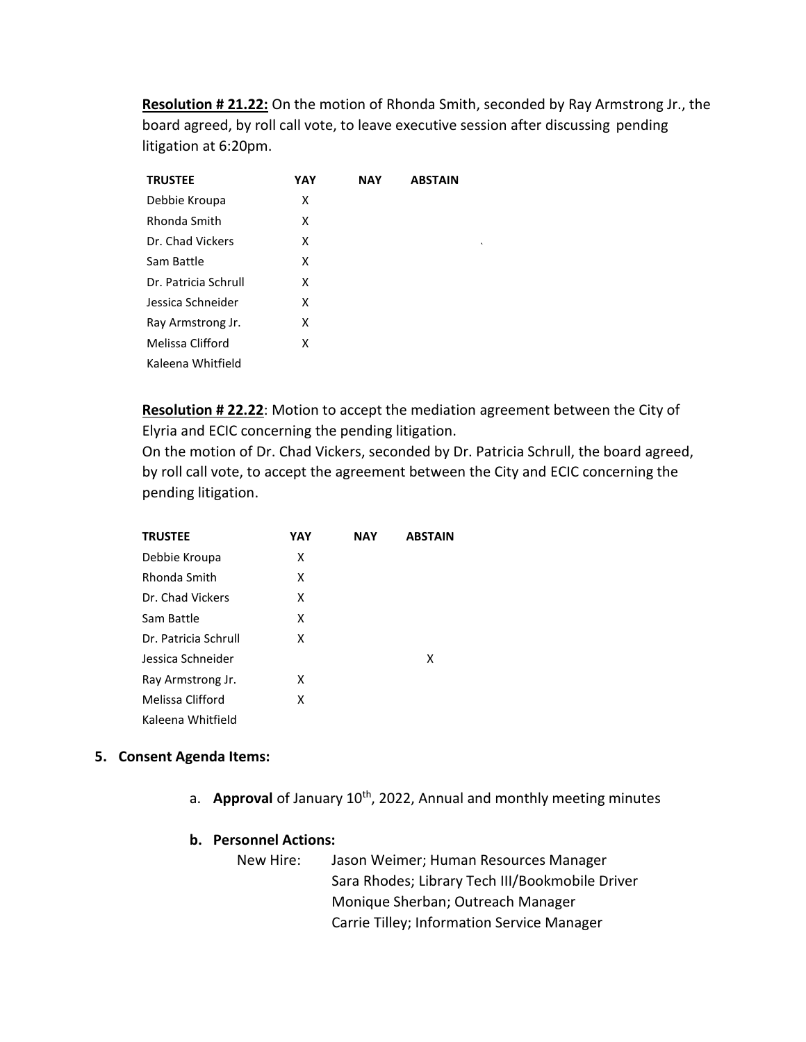**Resolution # 21.22:** On the motion of Rhonda Smith, seconded by Ray Armstrong Jr., the board agreed, by roll call vote, to leave executive session after discussing pending litigation at 6:20pm.

`

| <b>TRUSTEE</b>       | YAY | <b>NAY</b> | <b>ABSTAIN</b> |
|----------------------|-----|------------|----------------|
| Debbie Kroupa        | x   |            |                |
| Rhonda Smith         | x   |            |                |
| Dr. Chad Vickers     | x   |            |                |
| Sam Battle           | x   |            |                |
| Dr. Patricia Schrull | x   |            |                |
| Jessica Schneider    | x   |            |                |
| Ray Armstrong Jr.    | x   |            |                |
| Melissa Clifford     | x   |            |                |
| Kaleena Whitfield    |     |            |                |

**Resolution # 22.22**: Motion to accept the mediation agreement between the City of Elyria and ECIC concerning the pending litigation.

On the motion of Dr. Chad Vickers, seconded by Dr. Patricia Schrull, the board agreed, by roll call vote, to accept the agreement between the City and ECIC concerning the pending litigation.

| <b>TRUSTEE</b>       | YAY | <b>NAY</b> | <b>ABSTAIN</b> |
|----------------------|-----|------------|----------------|
| Debbie Kroupa        | x   |            |                |
| Rhonda Smith         | x   |            |                |
| Dr. Chad Vickers     | x   |            |                |
| Sam Battle           | x   |            |                |
| Dr. Patricia Schrull | x   |            |                |
| Jessica Schneider    |     |            | х              |
| Ray Armstrong Jr.    | x   |            |                |
| Melissa Clifford     | x   |            |                |
| Kaleena Whitfield    |     |            |                |

## **5. Consent Agenda Items:**

a. **Approval** of January 10<sup>th</sup>, 2022, Annual and monthly meeting minutes

## **b. Personnel Actions:**

New Hire: Jason Weimer; Human Resources Manager Sara Rhodes; Library Tech III/Bookmobile Driver Monique Sherban; Outreach Manager Carrie Tilley; Information Service Manager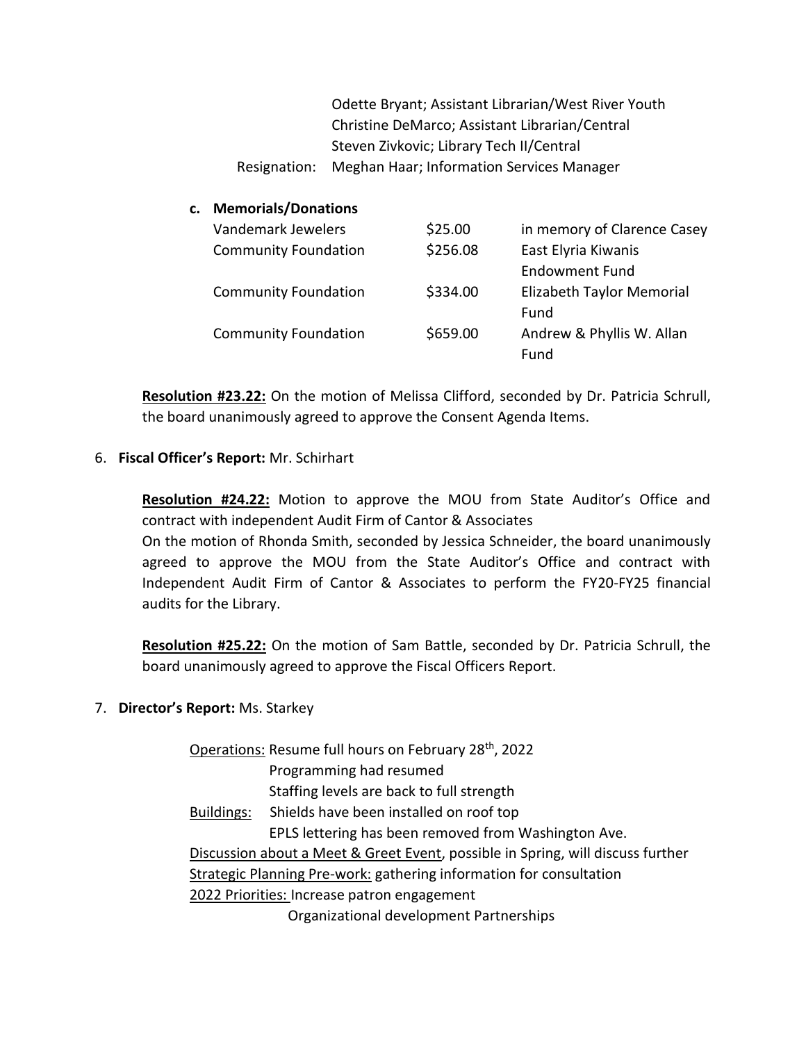Odette Bryant; Assistant Librarian/West River Youth Christine DeMarco; Assistant Librarian/Central Steven Zivkovic; Library Tech II/Central Resignation: Meghan Haar; Information Services Manager

## **c. Memorials/Donations**

| Vandemark Jewelers          | \$25.00  | in memory of Clarence Casey |
|-----------------------------|----------|-----------------------------|
| <b>Community Foundation</b> | \$256.08 | East Elyria Kiwanis         |
|                             |          | <b>Endowment Fund</b>       |
| <b>Community Foundation</b> | \$334.00 | Elizabeth Taylor Memorial   |
|                             |          | Fund                        |
| <b>Community Foundation</b> | \$659.00 | Andrew & Phyllis W. Allan   |
|                             |          | Fund                        |

**Resolution #23.22:** On the motion of Melissa Clifford, seconded by Dr. Patricia Schrull, the board unanimously agreed to approve the Consent Agenda Items.

## 6. **Fiscal Officer's Report:** Mr. Schirhart

**Resolution #24.22:** Motion to approve the MOU from State Auditor's Office and contract with independent Audit Firm of Cantor & Associates

On the motion of Rhonda Smith, seconded by Jessica Schneider, the board unanimously agreed to approve the MOU from the State Auditor's Office and contract with Independent Audit Firm of Cantor & Associates to perform the FY20-FY25 financial audits for the Library.

**Resolution #25.22:** On the motion of Sam Battle, seconded by Dr. Patricia Schrull, the board unanimously agreed to approve the Fiscal Officers Report.

## 7. **Director's Report:** Ms. Starkey

Operations: Resume full hours on February 28th, 2022 Programming had resumed Staffing levels are back to full strength Buildings: Shields have been installed on roof top EPLS lettering has been removed from Washington Ave. Discussion about a Meet & Greet Event, possible in Spring, will discuss further Strategic Planning Pre-work: gathering information for consultation 2022 Priorities: Increase patron engagement Organizational development Partnerships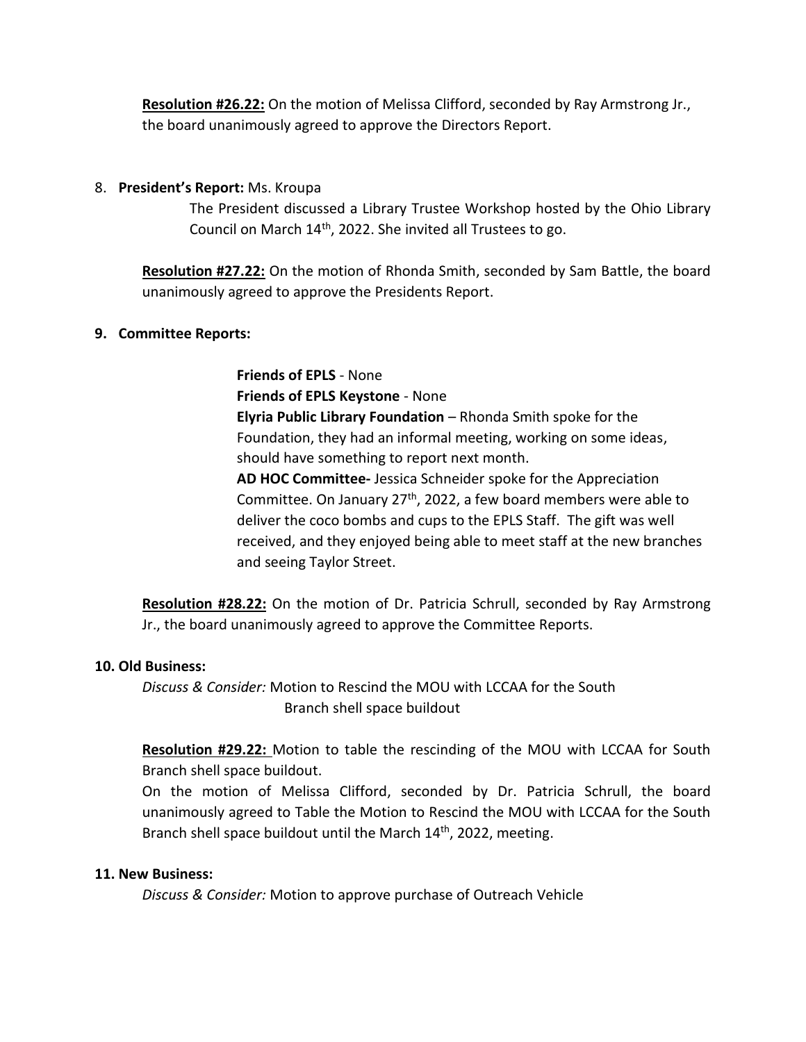**Resolution #26.22:** On the motion of Melissa Clifford, seconded by Ray Armstrong Jr., the board unanimously agreed to approve the Directors Report.

## 8. **President's Report:** Ms. Kroupa

The President discussed a Library Trustee Workshop hosted by the Ohio Library Council on March 14th, 2022. She invited all Trustees to go.

**Resolution #27.22:** On the motion of Rhonda Smith, seconded by Sam Battle, the board unanimously agreed to approve the Presidents Report.

## **9. Committee Reports:**

**Friends of EPLS** - None **Friends of EPLS Keystone** - None **Elyria Public Library Foundation** – Rhonda Smith spoke for the Foundation, they had an informal meeting, working on some ideas, should have something to report next month. **AD HOC Committee-** Jessica Schneider spoke for the Appreciation Committee. On January 27<sup>th</sup>, 2022, a few board members were able to deliver the coco bombs and cups to the EPLS Staff. The gift was well received, and they enjoyed being able to meet staff at the new branches and seeing Taylor Street.

**Resolution #28.22:** On the motion of Dr. Patricia Schrull, seconded by Ray Armstrong Jr., the board unanimously agreed to approve the Committee Reports.

## **10. Old Business:**

*Discuss & Consider:* Motion to Rescind the MOU with LCCAA for the South Branch shell space buildout

**Resolution #29.22:** Motion to table the rescinding of the MOU with LCCAA for South Branch shell space buildout.

On the motion of Melissa Clifford, seconded by Dr. Patricia Schrull, the board unanimously agreed to Table the Motion to Rescind the MOU with LCCAA for the South Branch shell space buildout until the March 14<sup>th</sup>, 2022, meeting.

## **11. New Business:**

*Discuss & Consider:* Motion to approve purchase of Outreach Vehicle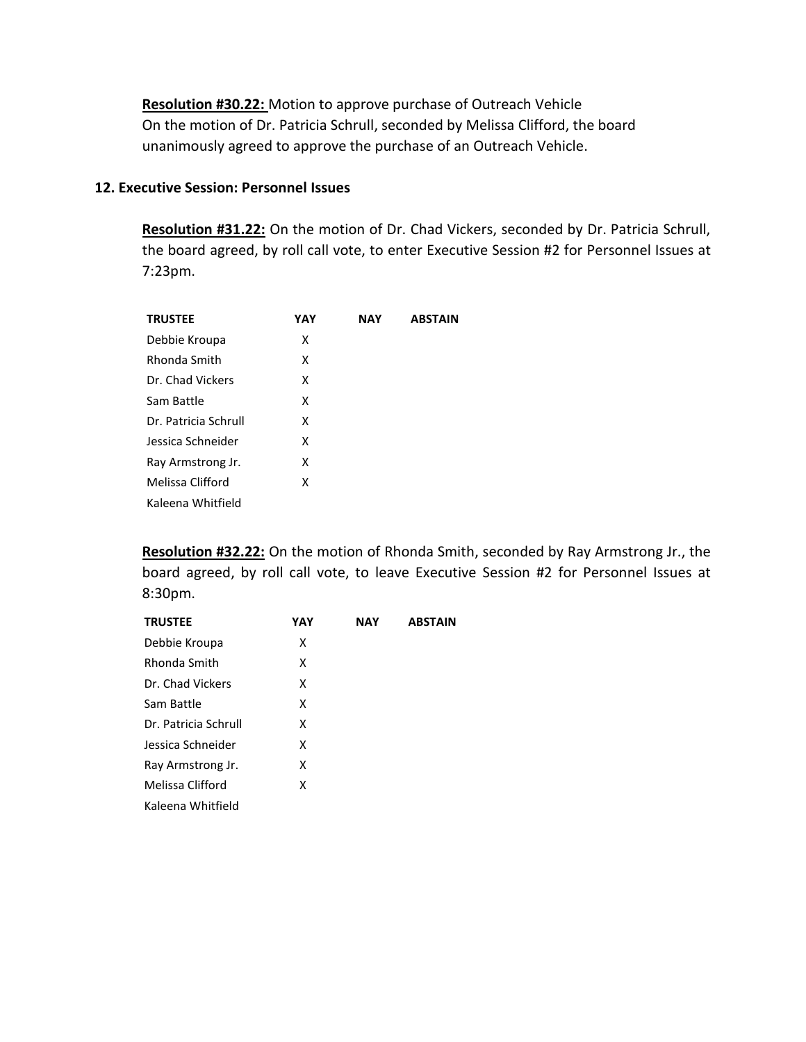**Resolution #30.22:** Motion to approve purchase of Outreach Vehicle On the motion of Dr. Patricia Schrull, seconded by Melissa Clifford, the board unanimously agreed to approve the purchase of an Outreach Vehicle.

#### **12. Executive Session: Personnel Issues**

**Resolution #31.22:** On the motion of Dr. Chad Vickers, seconded by Dr. Patricia Schrull, the board agreed, by roll call vote, to enter Executive Session #2 for Personnel Issues at 7:23pm.

| <b>TRUSTEE</b>       | YAY | <b>NAY</b> | <b>ABSTAIN</b> |
|----------------------|-----|------------|----------------|
| Debbie Kroupa        | x   |            |                |
| Rhonda Smith         | x   |            |                |
| Dr. Chad Vickers     | x   |            |                |
| Sam Battle           | x   |            |                |
| Dr. Patricia Schrull | x   |            |                |
| Jessica Schneider    | x   |            |                |
| Ray Armstrong Jr.    | x   |            |                |
| Melissa Clifford     | x   |            |                |
| Kaleena Whitfield    |     |            |                |

**Resolution #32.22:** On the motion of Rhonda Smith, seconded by Ray Armstrong Jr., the board agreed, by roll call vote, to leave Executive Session #2 for Personnel Issues at 8:30pm.

| <b>TRUSTEE</b>       | YAY | <b>NAY</b> | <b>ABSTAIN</b> |
|----------------------|-----|------------|----------------|
| Debbie Kroupa        | x   |            |                |
| Rhonda Smith         | x   |            |                |
| Dr. Chad Vickers     | x   |            |                |
| Sam Battle           | x   |            |                |
| Dr. Patricia Schrull | x   |            |                |
| Jessica Schneider    | x   |            |                |
| Ray Armstrong Jr.    | x   |            |                |
| Melissa Clifford     | x   |            |                |
| Kaleena Whitfield    |     |            |                |